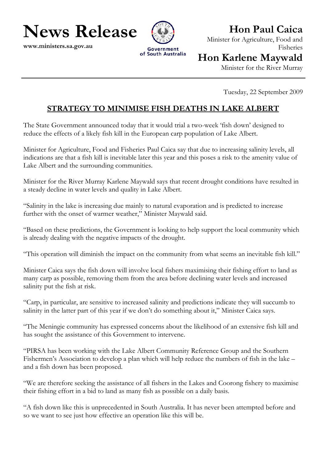**Hon Paul Caica** 

**News Release**

**www.ministers.sa.gov.au** 



Minister for Agriculture, Food and Fisheries

## **Hon Karlene Maywald**

Minister for the River Murray

Tuesday, 22 September 2009

## **STRATEGY TO MINIMISE FISH DEATHS IN LAKE ALBERT**

The State Government announced today that it would trial a two-week 'fish down' designed to reduce the effects of a likely fish kill in the European carp population of Lake Albert.

Minister for Agriculture, Food and Fisheries Paul Caica say that due to increasing salinity levels, all indications are that a fish kill is inevitable later this year and this poses a risk to the amenity value of Lake Albert and the surrounding communities.

Minister for the River Murray Karlene Maywald says that recent drought conditions have resulted in a steady decline in water levels and quality in Lake Albert.

"Salinity in the lake is increasing due mainly to natural evaporation and is predicted to increase further with the onset of warmer weather," Minister Maywald said.

"Based on these predictions, the Government is looking to help support the local community which is already dealing with the negative impacts of the drought.

"This operation will diminish the impact on the community from what seems an inevitable fish kill."

Minister Caica says the fish down will involve local fishers maximising their fishing effort to land as many carp as possible, removing them from the area before declining water levels and increased salinity put the fish at risk.

"Carp, in particular, are sensitive to increased salinity and predictions indicate they will succumb to salinity in the latter part of this year if we don't do something about it," Minister Caica says.

"The Meningie community has expressed concerns about the likelihood of an extensive fish kill and has sought the assistance of this Government to intervene.

"PIRSA has been working with the Lake Albert Community Reference Group and the Southern Fishermen's Association to develop a plan which will help reduce the numbers of fish in the lake – and a fish down has been proposed.

"We are therefore seeking the assistance of all fishers in the Lakes and Coorong fishery to maximise their fishing effort in a bid to land as many fish as possible on a daily basis.

"A fish down like this is unprecedented in South Australia. It has never been attempted before and so we want to see just how effective an operation like this will be.